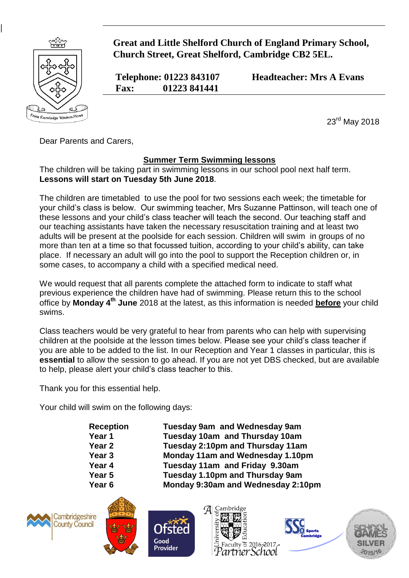

**|**

 **Great and Little Shelford Church of England Primary School, Church Street, Great Shelford, Cambridge CB2 5EL.**

 **Fax: 01223 841441**

 **Telephone: 01223 843107 Headteacher: Mrs A Evans**

23rd May 2018

Dear Parents and Carers,

## **Summer Term Swimming lessons**

The children will be taking part in swimming lessons in our school pool next half term. **Lessons will start on Tuesday 5th June 2018**.

The children are timetabled to use the pool for two sessions each week; the timetable for your child's class is below. Our swimming teacher, Mrs Suzanne Pattinson, will teach one of these lessons and your child's class teacher will teach the second. Our teaching staff and our teaching assistants have taken the necessary resuscitation training and at least two adults will be present at the poolside for each session. Children will swim in groups of no more than ten at a time so that focussed tuition, according to your child's ability, can take place. If necessary an adult will go into the pool to support the Reception children or, in some cases, to accompany a child with a specified medical need.

We would request that all parents complete the attached form to indicate to staff what previous experience the children have had of swimming. Please return this to the school office by **Monday 4 th June** 2018 at the latest, as this information is needed **before** your child swims.

Class teachers would be very grateful to hear from parents who can help with supervising children at the poolside at the lesson times below. Please see your child's class teacher if you are able to be added to the list. In our Reception and Year 1 classes in particular, this is **essential** to allow the session to go ahead. If you are not yet DBS checked, but are available to help, please alert your child's class teacher to this.

Thank you for this essential help.

Your child will swim on the following days:

**Reception Tuesday 9am and Wednesday 9am Year 1 Tuesday 10am and Thursday 10am Year 2 Tuesday 2:10pm and Thursday 11am Year 3 Monday 11am and Wednesday 1.10pm Year 4 Tuesday 11am and Friday 9.30am Year 5 Tuesday 1.10pm and Thursday 9am Year 6 Monday 9:30am and Wednesday 2:10pm** 





Good Provider





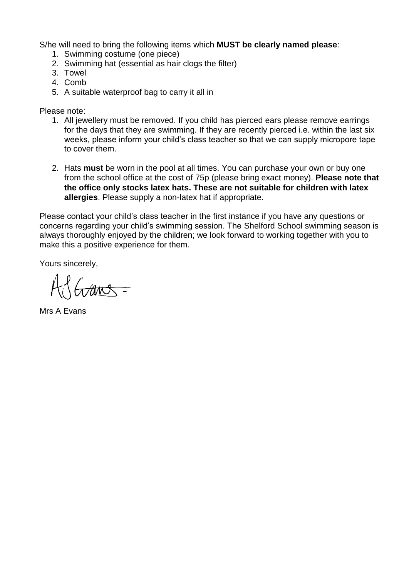S/he will need to bring the following items which **MUST be clearly named please**:

- 1. Swimming costume (one piece)
- 2. Swimming hat (essential as hair clogs the filter)
- 3. Towel
- 4. Comb
- 5. A suitable waterproof bag to carry it all in

Please note:

- 1. All jewellery must be removed. If you child has pierced ears please remove earrings for the days that they are swimming. If they are recently pierced i.e. within the last six weeks, please inform your child's class teacher so that we can supply micropore tape to cover them.
- 2. Hats **must** be worn in the pool at all times. You can purchase your own or buy one from the school office at the cost of 75p (please bring exact money). **Please note that the office only stocks latex hats. These are not suitable for children with latex allergies**. Please supply a non-latex hat if appropriate.

Please contact your child's class teacher in the first instance if you have any questions or concerns regarding your child's swimming session. The Shelford School swimming season is always thoroughly enjoyed by the children; we look forward to working together with you to make this a positive experience for them.

Yours sincerely,

Grans-

Mrs A Evans